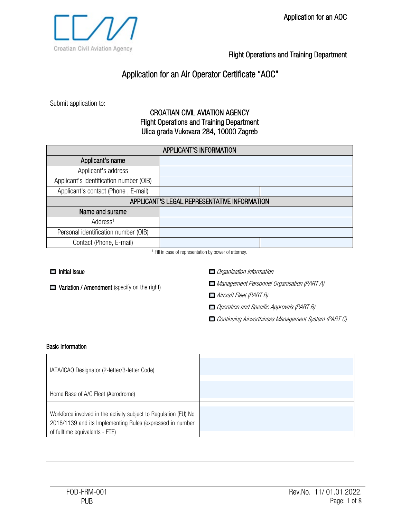

# Application for an Air Operator Certificate "AOC"

Submit application to:

## CROATIAN CIVIL AVIATION AGENCY Flight Operations and Training Department Ulica grada Vukovara 284, 10000 Zagreb

| <b>APPLICANT'S INFORMATION</b>               |  |  |
|----------------------------------------------|--|--|
| Applicant's name                             |  |  |
| Applicant's address                          |  |  |
| Applicant's identification number (OIB)      |  |  |
| Applicant's contact (Phone, E-mail)          |  |  |
| APPLICANT'S LEGAL REPRESENTATIVE INFORMATION |  |  |
| Name and surame                              |  |  |
| Address <sup>1</sup>                         |  |  |
| Personal identification number (OIB)         |  |  |
| Contact (Phone, E-mail)                      |  |  |

<sup>1</sup> Fill in case of representation by power of attorney.

## $\Box$  Initial Issue

Variation / Amendment (specify on the right)

Organisation Information

Management Personnel Organisation (PART A)

- Aircraft Fleet (PART B)
- Operation and Specific Approvals (PART B)

Continuing Airworthiness Management System (PART C)

## Basic information

| IATA/ICAO Designator (2-letter/3-letter Code)                                                                                                                   |  |
|-----------------------------------------------------------------------------------------------------------------------------------------------------------------|--|
| Home Base of A/C Fleet (Aerodrome)                                                                                                                              |  |
| Workforce involved in the activity subject to Regulation (EU) No<br>2018/1139 and its Implementing Rules (expressed in number<br>of fulltime equivalents - FTE) |  |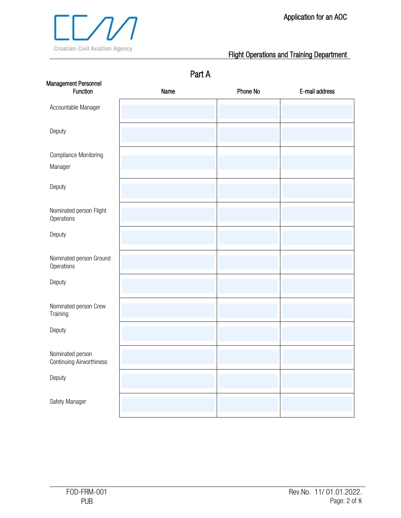| Part A                                              |      |          |                |  |
|-----------------------------------------------------|------|----------|----------------|--|
| Management Personnel<br>Function                    | Name | Phone No | E-mail address |  |
| Accountable Manager                                 |      |          |                |  |
| Deputy                                              |      |          |                |  |
| <b>Compliance Monitoring</b>                        |      |          |                |  |
| Manager                                             |      |          |                |  |
| Deputy                                              |      |          |                |  |
| Nominated person Flight<br>Operations               |      |          |                |  |
| Deputy                                              |      |          |                |  |
| Nominated person Ground<br>Operations               |      |          |                |  |
| Deputy                                              |      |          |                |  |
| Nominated person Crew<br>Training                   |      |          |                |  |
| Deputy                                              |      |          |                |  |
| Nominated person<br><b>Continuing Airworthiness</b> |      |          |                |  |
| Deputy                                              |      |          |                |  |
| Safety Manager                                      |      |          |                |  |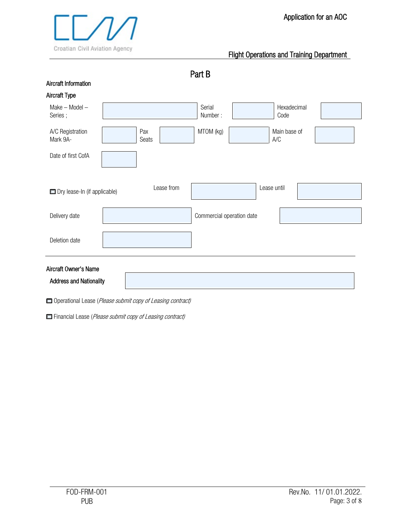

Part B Aircraft Information

| <u>Anvian inventuuvin</u>      |                                                  |
|--------------------------------|--------------------------------------------------|
| <b>Aircraft Type</b>           |                                                  |
| $Make - Model -$<br>Series;    | Serial<br>Hexadecimal<br>Number:<br>Code         |
| A/C Registration<br>Mark 9A-   | MTOM (kg)<br>Pax<br>Main base of<br>A/C<br>Seats |
| Date of first CofA             |                                                  |
| Dry lease-In (if applicable)   | Lease from<br>Lease until                        |
| Delivery date                  | Commercial operation date                        |
| Deletion date                  |                                                  |
| Aircraft Owner's Name          |                                                  |
| <b>Address and Nationality</b> |                                                  |

Operational Lease (Please submit copy of Leasing contract)

Financial Lease (Please submit copy of Leasing contract)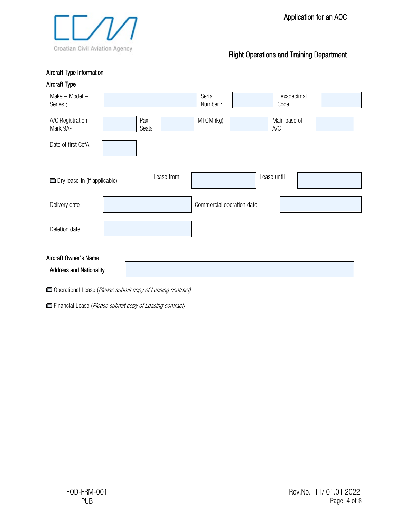

| Aircraft Type Information      |                                                  |
|--------------------------------|--------------------------------------------------|
| Aircraft Type                  |                                                  |
| $Make - Model -$<br>Series;    | Serial<br>Hexadecimal<br>Number:<br>Code         |
| A/C Registration<br>Mark 9A-   | MTOM (kg)<br>Pax<br>Main base of<br>Seats<br>A/C |
| Date of first CofA             |                                                  |
| Dry lease-In (if applicable)   | Lease from<br>Lease until                        |
| Delivery date                  | Commercial operation date                        |
| Deletion date                  |                                                  |
| Aircraft Owner's Name          |                                                  |
| <b>Address and Nationality</b> |                                                  |

Operational Lease (Please submit copy of Leasing contract)

Financial Lease (Please submit copy of Leasing contract)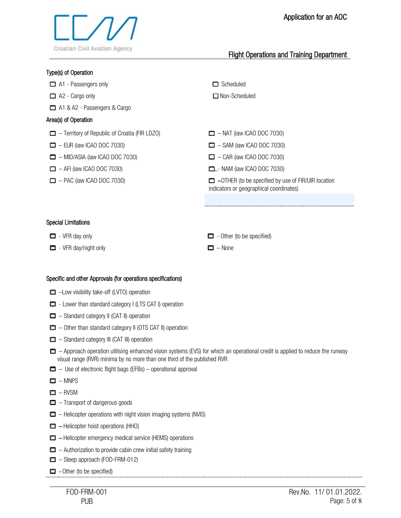

|  | Type(s) of Operation |
|--|----------------------|
|  |                      |

 $\Box$  A1 - Passengers only  $\Box$  Scheduled

□ A2 - Cargo only and the control of the Cargo only and A2 - Cargo only

□ A1 & A2 - Passengers & Cargo

## Area(s) of Operation

- $\Box$  Territory of Republic of Croatia (FIR LDZO)  $\Box$  NAT (iaw ICAO DOC 7030)
- $\Box$  EUR (iaw ICAO DOC 7030)  $\Box$  SAM (iaw ICAO DOC 7030)
- $\Box$  MID/ASIA (iaw ICAO DOC 7030)  $\Box$  CAR (iaw ICAO DOC 7030)
- $\Box$  AFI (iaw ICAO DOC 7030) ... NAM (iaw ICAO DOC 7030)
- 

- 
- 
- 

 $\Box$  – PAC (iaw ICAO DOC 7030)  $\Box$  – OTHER (to be specified by use of FIR/UIR location indicators or geographical coordinates)

## Special Limitations

 $\Box$  - VFR day/night only  $\Box$  - None

 $\Box$  - VFR day only  $\Box$  - Other (to be specified)

## Specific and other Approvals (for operations specifications)

- $\Box$  –Low visibility take-off (LVTO) operation
- $\Box$  Lower than standard category I (LTS CAT I) operation
- $\Box$  Standard category II (CAT II) operation
- $\Box$  Other than standard category II (OTS CAT II) operation
- $\Box$  Standard category III (CAT III) operation
- $\Box$  Approach operation utilising enhanced vision systems (EVS) for which an operational credit is applied to reduce the runway visual range (RVR) minima by no more than one third of the published RVR
- $\Box$  Use of electronic flight bags (EFBs) operational approval
- $\Box$  MNPS
- $\Box$  RVSM
- $\Box$  Transport of dangerous goods
- $\Box$  Helicopter operations with night vision imaging systems (NVIS)
- $\Box$  Helicopter hoist operations (HHO)
- $\Box$  Helicopter emergency medical service (HEMS) operations
- $\Box$  Authorization to provide cabin crew initial safety training
- $\Box$  Steep approach (FOD-FRM-012)
- $\Box$  Other (to be specified)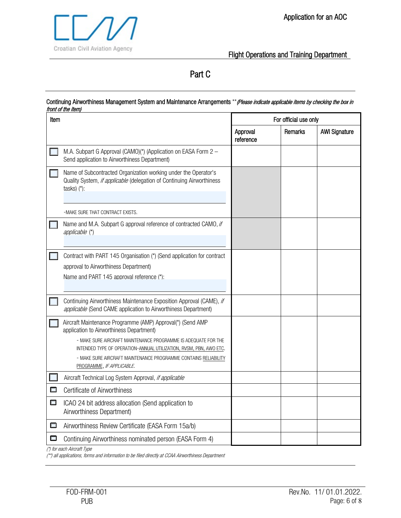Part C

#### Continuing Airworthiness Management System and Maintenance Arrangements \*\* (Please indicate applicable items by checking the box in front of the item)

| Item   |                                                                                                                                                                                                                                                                                                                                                | For official use only |         |                      |
|--------|------------------------------------------------------------------------------------------------------------------------------------------------------------------------------------------------------------------------------------------------------------------------------------------------------------------------------------------------|-----------------------|---------|----------------------|
|        |                                                                                                                                                                                                                                                                                                                                                | Approval<br>reference | Remarks | <b>AWI Signature</b> |
|        | M.A. Subpart G Approval (CAMO)(*) (Application on EASA Form 2 -<br>Send application to Airworthiness Department)                                                                                                                                                                                                                               |                       |         |                      |
|        | Name of Subcontracted Organization working under the Operator's<br>Quality System, if applicable (delegation of Continuing Airworthiness<br>$tasks)$ (*):                                                                                                                                                                                      |                       |         |                      |
|        | -MAKE SURE THAT CONTRACT EXISTS.                                                                                                                                                                                                                                                                                                               |                       |         |                      |
|        | Name and M.A. Subpart G approval reference of contracted CAMO, if<br>applicable (*)                                                                                                                                                                                                                                                            |                       |         |                      |
|        | Contract with PART 145 Organisation (*) (Send application for contract<br>approval to Airworthiness Department)<br>Name and PART 145 approval reference (*):                                                                                                                                                                                   |                       |         |                      |
|        | Continuing Airworthiness Maintenance Exposition Approval (CAME), if<br>applicable (Send CAME application to Airworthiness Department)                                                                                                                                                                                                          |                       |         |                      |
|        | Aircraft Maintenance Programme (AMP) Approval(*) (Send AMP<br>application to Airworthiness Department)<br>- MAKE SURE AIRCRAFT MAINTENANCE PROGRAMME IS ADEQUATE FOR THE<br>INTENDED TYPE OF OPERATION-ANNUAL UTILIZATION, RVSM, PBN, AWO ETC.<br>- MAKE SURE AIRCRAFT MAINTENANCE PROGRAMME CONTAINS RELIABILITY<br>PROGRAMME, IF APPLICABLE. |                       |         |                      |
|        | Aircraft Technical Log System Approval, if applicable                                                                                                                                                                                                                                                                                          |                       |         |                      |
| $\Box$ | <b>Certificate of Airworthiness</b>                                                                                                                                                                                                                                                                                                            |                       |         |                      |
| П      | ICAO 24 bit address allocation (Send application to<br>Airworthiness Department)                                                                                                                                                                                                                                                               |                       |         |                      |
| $\Box$ | Airworthiness Review Certificate (EASA Form 15a/b)                                                                                                                                                                                                                                                                                             |                       |         |                      |
|        | Continuing Airworthiness nominated person (EASA Form 4)<br>(*) for each Aircraft Type                                                                                                                                                                                                                                                          |                       |         |                      |

(\*\*) all applications, forms and information to be filed directly at CCAA Airworthiness Department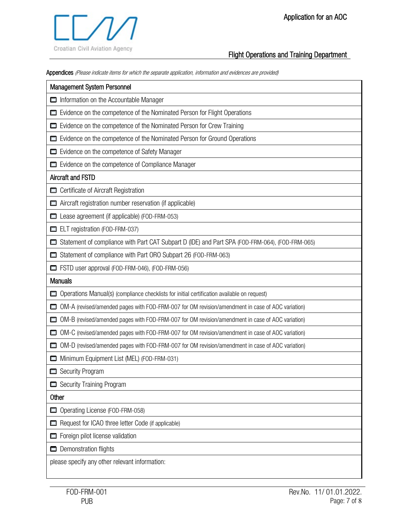Appendices (Please indicate items for which the separate application, information and evidences are provided)

| <b>Management System Personnel</b>                                                               |
|--------------------------------------------------------------------------------------------------|
| Information on the Accountable Manager                                                           |
| Evidence on the competence of the Nominated Person for Flight Operations                         |
| Evidence on the competence of the Nominated Person for Crew Training                             |
| Evidence on the competence of the Nominated Person for Ground Operations                         |
| Evidence on the competence of Safety Manager                                                     |
| Evidence on the competence of Compliance Manager                                                 |
| <b>Aircraft and FSTD</b>                                                                         |
| Certificate of Aircraft Registration                                                             |
| Aircraft registration number reservation (if applicable)                                         |
| Lease agreement (if applicable) (FOD-FRM-053)                                                    |
| ELT registration (FOD-FRM-037)                                                                   |
| Statement of compliance with Part CAT Subpart D (IDE) and Part SPA (FOD-FRM-064), (FOD-FRM-065)  |
| Statement of compliance with Part ORO Subpart 26 (FOD-FRM-063)                                   |
| <b>T</b> FSTD user approval (FOD-FRM-046), (FOD-FRM-056)                                         |
| <b>Manuals</b>                                                                                   |
| Operations Manual(s) (compliance checklists for initial certification available on request)      |
| OM-A (revised/amended pages with FOD-FRM-007 for OM revision/amendment in case of AOC variation) |
| OM-B (revised/amended pages with FOD-FRM-007 for OM revision/amendment in case of AOC variation) |
| OM-C (revised/amended pages with FOD-FRM-007 for OM revision/amendment in case of AOC variation) |
| OM-D (revised/amended pages with FOD-FRM-007 for OM revision/amendment in case of AOC variation) |
| Minimum Equipment List (MEL) (FOD-FRM-031)                                                       |
| Security Program                                                                                 |
| Security Training Program                                                                        |
| Other                                                                                            |
| Operating License (FOD-FRM-058)                                                                  |
| Request for ICAO three letter Code (if applicable)                                               |
| Foreign pilot license validation                                                                 |
| Demonstration flights                                                                            |
| please specify any other relevant information:                                                   |
|                                                                                                  |